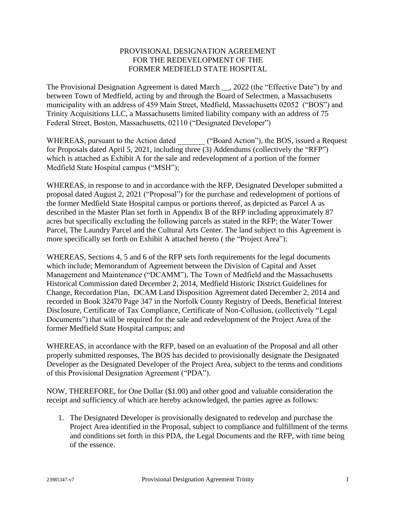### PROVISIONAL DESIGNATION AGREEMENT FOR THE REDEVELOPMENT OF THE FORMER MEDFIELD STATE HOSPITAL

The Provisional Designation Agreement is dated March \_\_, 2022 (the "Effective Date") by and between Town of Medfield, acting by and through the Board of Selectmen, a Massachusetts municipality with an address of 459 Main Street, Medfield, Massachusetts 02052 ("BOS") and Trinity Acquisitions LLC, a Massachusetts limited liability company with an address of 75 Federal Street, Boston, Massachusetts, 02110 ("Designated Developer")

WHEREAS, pursuant to the Action dated ("Board Action"), the BOS, issued a Request for Proposals dated April 5, 2021, including three (3) Addendums (collectively the "RFP") which is attached as Exhibit A for the sale and redevelopment of a portion of the former Medfield State Hospital campus ("MSH");

WHEREAS, in response to and in accordance with the RFP, Designated Developer submitted a proposal dated August 2, 2021 ("Proposal") for the purchase and redevelopment of portions of the former Medfield State Hospital campus or portions thereof, as depicted as Parcel A as described in the Master Plan set forth in Appendix B of the RFP including approximately 87 acres but specifically excluding the following parcels as stated in the RFP; the Water Tower Parcel, The Laundry Parcel and the Cultural Arts Center. The land subject to this Agreement is more specifically set forth on Exhibit A attached hereto ( the "Project Area");

WHEREAS, Sections 4, 5 and 6 of the RFP sets forth requirements for the legal documents which include; Memorandum of Agreement between the Division of Capital and Asset Management and Maintenance ("DCAMM"), The Town of Medfield and the Massachusetts Historical Commission dated December 2, 2014, Medfield Historic District Guidelines for Change, Recordation Plan, DCAM Land Disposition Agreement dated December 2, 2014 and recorded in Book 32470 Page 347 in the Norfolk County Registry of Deeds, Beneficial Interest Disclosure, Certificate of Tax Compliance, Certificate of Non-Collusion, (collectively "Legal Documents") that will be required for the sale and redevelopment of the Project Area of the former Medfield State Hospital campus; and

WHEREAS, in accordance with the RFP, based on an evaluation of the Proposal and all other properly submitted responses, The BOS has decided to provisionally designate the Designated Developer as the Designated Developer of the Project Area, subject to the terms and conditions of this Provisional Designation Agreement ("PDA").

NOW, THEREFORE, for One Dollar (\$1.00) and other good and valuable consideration the receipt and sufficiency of which are hereby acknowledged, the parties agree as follows:

1. The Designated Developer is provisionally designated to redevelop and purchase the Project Area identified in the Proposal, subject to compliance and fulfillment of the terms and conditions set forth in this PDA, the Legal Documents and the RFP, with time being of the essence.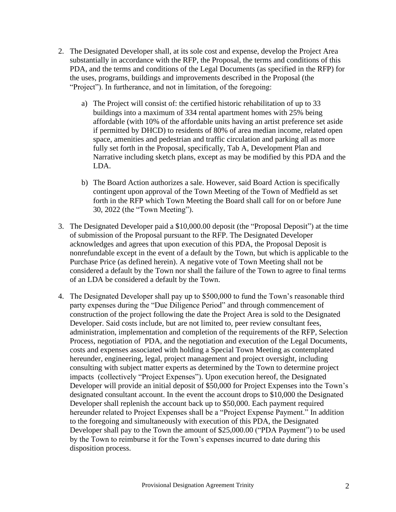- 2. The Designated Developer shall, at its sole cost and expense, develop the Project Area substantially in accordance with the RFP, the Proposal, the terms and conditions of this PDA, and the terms and conditions of the Legal Documents (as specified in the RFP) for the uses, programs, buildings and improvements described in the Proposal (the "Project"). In furtherance, and not in limitation, of the foregoing:
	- a) The Project will consist of: the certified historic rehabilitation of up to 33 buildings into a maximum of 334 rental apartment homes with 25% being affordable (with 10% of the affordable units having an artist preference set aside if permitted by DHCD) to residents of 80% of area median income, related open space, amenities and pedestrian and traffic circulation and parking all as more fully set forth in the Proposal, specifically, Tab A, Development Plan and Narrative including sketch plans, except as may be modified by this PDA and the LDA.
	- b) The Board Action authorizes a sale. However, said Board Action is specifically contingent upon approval of the Town Meeting of the Town of Medfield as set forth in the RFP which Town Meeting the Board shall call for on or before June 30, 2022 (the "Town Meeting").
- 3. The Designated Developer paid a \$10,000.00 deposit (the "Proposal Deposit") at the time of submission of the Proposal pursuant to the RFP. The Designated Developer acknowledges and agrees that upon execution of this PDA, the Proposal Deposit is nonrefundable except in the event of a default by the Town, but which is applicable to the Purchase Price (as defined herein). A negative vote of Town Meeting shall not be considered a default by the Town nor shall the failure of the Town to agree to final terms of an LDA be considered a default by the Town.
- 4. The Designated Developer shall pay up to \$500,000 to fund the Town's reasonable third party expenses during the "Due Diligence Period" and through commencement of construction of the project following the date the Project Area is sold to the Designated Developer. Said costs include, but are not limited to, peer review consultant fees, administration, implementation and completion of the requirements of the RFP, Selection Process, negotiation of PDA, and the negotiation and execution of the Legal Documents, costs and expenses associated with holding a Special Town Meeting as contemplated hereunder, engineering, legal, project management and project oversight, including consulting with subject matter experts as determined by the Town to determine project impacts (collectively "Project Expenses"). Upon execution hereof, the Designated Developer will provide an initial deposit of \$50,000 for Project Expenses into the Town's designated consultant account. In the event the account drops to \$10,000 the Designated Developer shall replenish the account back up to \$50,000. Each payment required hereunder related to Project Expenses shall be a "Project Expense Payment." In addition to the foregoing and simultaneously with execution of this PDA, the Designated Developer shall pay to the Town the amount of \$25,000.00 ("PDA Payment") to be used by the Town to reimburse it for the Town's expenses incurred to date during this disposition process.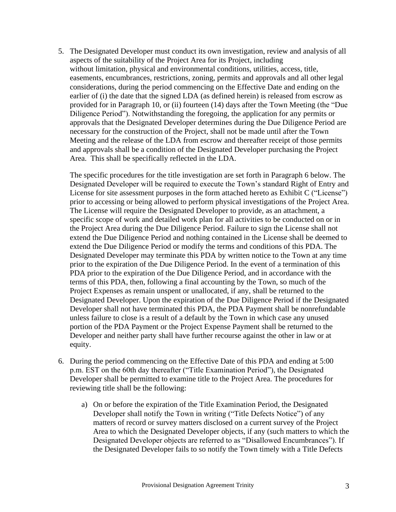5. The Designated Developer must conduct its own investigation, review and analysis of all aspects of the suitability of the Project Area for its Project, including without limitation, physical and environmental conditions, utilities, access, title, easements, encumbrances, restrictions, zoning, permits and approvals and all other legal considerations, during the period commencing on the Effective Date and ending on the earlier of (i) the date that the signed LDA (as defined herein) is released from escrow as provided for in Paragraph 10, or (ii) fourteen (14) days after the Town Meeting (the "Due Diligence Period"). Notwithstanding the foregoing, the application for any permits or approvals that the Designated Developer determines during the Due Diligence Period are necessary for the construction of the Project, shall not be made until after the Town Meeting and the release of the LDA from escrow and thereafter receipt of those permits and approvals shall be a condition of the Designated Developer purchasing the Project Area. This shall be specifically reflected in the LDA.

The specific procedures for the title investigation are set forth in Paragraph 6 below. The Designated Developer will be required to execute the Town's standard Right of Entry and License for site assessment purposes in the form attached hereto as Exhibit C ("License") prior to accessing or being allowed to perform physical investigations of the Project Area. The License will require the Designated Developer to provide, as an attachment, a specific scope of work and detailed work plan for all activities to be conducted on or in the Project Area during the Due Diligence Period. Failure to sign the License shall not extend the Due Diligence Period and nothing contained in the License shall be deemed to extend the Due Diligence Period or modify the terms and conditions of this PDA. The Designated Developer may terminate this PDA by written notice to the Town at any time prior to the expiration of the Due Diligence Period. In the event of a termination of this PDA prior to the expiration of the Due Diligence Period, and in accordance with the terms of this PDA, then, following a final accounting by the Town, so much of the Project Expenses as remain unspent or unallocated, if any, shall be returned to the Designated Developer. Upon the expiration of the Due Diligence Period if the Designated Developer shall not have terminated this PDA, the PDA Payment shall be nonrefundable unless failure to close is a result of a default by the Town in which case any unused portion of the PDA Payment or the Project Expense Payment shall be returned to the Developer and neither party shall have further recourse against the other in law or at equity.

- 6. During the period commencing on the Effective Date of this PDA and ending at 5:00 p.m. EST on the 60th day thereafter ("Title Examination Period"), the Designated Developer shall be permitted to examine title to the Project Area. The procedures for reviewing title shall be the following:
	- a) On or before the expiration of the Title Examination Period, the Designated Developer shall notify the Town in writing ("Title Defects Notice") of any matters of record or survey matters disclosed on a current survey of the Project Area to which the Designated Developer objects, if any (such matters to which the Designated Developer objects are referred to as "Disallowed Encumbrances"). If the Designated Developer fails to so notify the Town timely with a Title Defects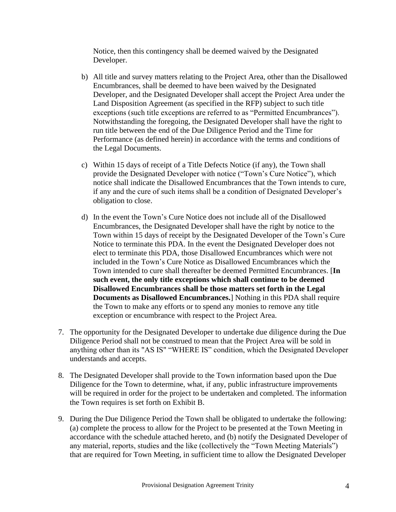Notice, then this contingency shall be deemed waived by the Designated Developer.

- b) All title and survey matters relating to the Project Area, other than the Disallowed Encumbrances, shall be deemed to have been waived by the Designated Developer, and the Designated Developer shall accept the Project Area under the Land Disposition Agreement (as specified in the RFP) subject to such title exceptions (such title exceptions are referred to as "Permitted Encumbrances"). Notwithstanding the foregoing, the Designated Developer shall have the right to run title between the end of the Due Diligence Period and the Time for Performance (as defined herein) in accordance with the terms and conditions of the Legal Documents.
- c) Within 15 days of receipt of a Title Defects Notice (if any), the Town shall provide the Designated Developer with notice ("Town's Cure Notice"), which notice shall indicate the Disallowed Encumbrances that the Town intends to cure, if any and the cure of such items shall be a condition of Designated Developer's obligation to close.
- d) In the event the Town's Cure Notice does not include all of the Disallowed Encumbrances, the Designated Developer shall have the right by notice to the Town within 15 days of receipt by the Designated Developer of the Town's Cure Notice to terminate this PDA. In the event the Designated Developer does not elect to terminate this PDA, those Disallowed Encumbrances which were not included in the Town's Cure Notice as Disallowed Encumbrances which the Town intended to cure shall thereafter be deemed Permitted Encumbrances. [**In such event, the only title exceptions which shall continue to be deemed Disallowed Encumbrances shall be those matters set forth in the Legal Documents as Disallowed Encumbrances.**] Nothing in this PDA shall require the Town to make any efforts or to spend any monies to remove any title exception or encumbrance with respect to the Project Area.
- 7. The opportunity for the Designated Developer to undertake due diligence during the Due Diligence Period shall not be construed to mean that the Project Area will be sold in anything other than its "AS IS" "WHERE IS" condition, which the Designated Developer understands and accepts.
- 8. The Designated Developer shall provide to the Town information based upon the Due Diligence for the Town to determine, what, if any, public infrastructure improvements will be required in order for the project to be undertaken and completed. The information the Town requires is set forth on Exhibit B.
- 9. During the Due Diligence Period the Town shall be obligated to undertake the following: (a) complete the process to allow for the Project to be presented at the Town Meeting in accordance with the schedule attached hereto, and (b) notify the Designated Developer of any material, reports, studies and the like (collectively the "Town Meeting Materials") that are required for Town Meeting, in sufficient time to allow the Designated Developer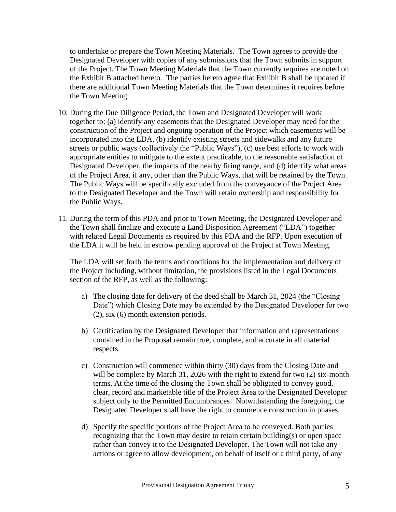to undertake or prepare the Town Meeting Materials. The Town agrees to provide the Designated Developer with copies of any submissions that the Town submits in support of the Project. The Town Meeting Materials that the Town currently requires are noted on the Exhibit B attached hereto. The parties hereto agree that Exhibit B shall be updated if there are additional Town Meeting Materials that the Town determines it requires before the Town Meeting.

- 10. During the Due Diligence Period, the Town and Designated Developer will work together to: (a) identify any easements that the Designated Developer may need for the construction of the Project and ongoing operation of the Project which easements will be incorporated into the LDA, (b) identify existing streets and sidewalks and any future streets or public ways (collectively the "Public Ways"), (c) use best efforts to work with appropriate entities to mitigate to the extent practicable, to the reasonable satisfaction of Designated Developer, the impacts of the nearby firing range, and (d) identify what areas of the Project Area, if any, other than the Public Ways, that will be retained by the Town. The Public Ways will be specifically excluded from the conveyance of the Project Area to the Designated Developer and the Town will retain ownership and responsibility for the Public Ways.
- 11. During the term of this PDA and prior to Town Meeting, the Designated Developer and the Town shall finalize and execute a Land Disposition Agreement ("LDA") together with related Legal Documents as required by this PDA and the RFP. Upon execution of the LDA it will be held in escrow pending approval of the Project at Town Meeting.

The LDA will set forth the terms and conditions for the implementation and delivery of the Project including, without limitation, the provisions listed in the Legal Documents section of the RFP, as well as the following:

- a) The closing date for delivery of the deed shall be March 31, 2024 (the "Closing Date") which Closing Date may be extended by the Designated Developer for two (2), six (6) month extension periods.
- b) Certification by the Designated Developer that information and representations contained in the Proposal remain true, complete, and accurate in all material respects.
- c) Construction will commence within thirty (30) days from the Closing Date and will be complete by March 31, 2026 with the right to extend for two  $(2)$  six-month terms. At the time of the closing the Town shall be obligated to convey good, clear, record and marketable title of the Project Area to the Designated Developer subject only to the Permitted Encumbrances. Notwithstanding the foregoing, the Designated Developer shall have the right to commence construction in phases.
- d) Specify the specific portions of the Project Area to be conveyed. Both parties recognizing that the Town may desire to retain certain building(s) or open space rather than convey it to the Designated Developer. The Town will not take any actions or agree to allow development, on behalf of itself or a third party, of any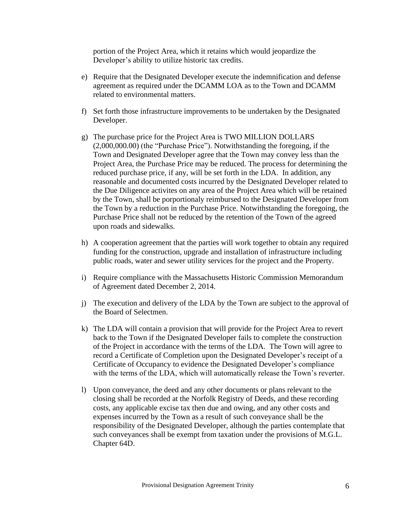portion of the Project Area, which it retains which would jeopardize the Developer's ability to utilize historic tax credits.

- e) Require that the Designated Developer execute the indemnification and defense agreement as required under the DCAMM LOA as to the Town and DCAMM related to environmental matters.
- f) Set forth those infrastructure improvements to be undertaken by the Designated Developer.
- g) The purchase price for the Project Area is TWO MILLION DOLLARS (2,000,000.00) (the "Purchase Price"). Notwithstanding the foregoing, if the Town and Designated Developer agree that the Town may convey less than the Project Area, the Purchase Price may be reduced. The process for determining the reduced purchase price, if any, will be set forth in the LDA. In addition, any reasonable and documented costs incurred by the Designated Developer related to the Due Diligence activites on any area of the Project Area which will be retained by the Town, shall be porportionaly reimbursed to the Designated Developer from the Town by a reduction in the Purchase Price. Notwithstanding the foregoing, the Purchase Price shall not be reduced by the retention of the Town of the agreed upon roads and sidewalks.
- h) A cooperation agreement that the parties will work together to obtain any required funding for the construction, upgrade and installation of infrastructure including public roads, water and sewer utility services for the project and the Property.
- i) Require compliance with the Massachusetts Historic Commission Memorandum of Agreement dated December 2, 2014.
- j) The execution and delivery of the LDA by the Town are subject to the approval of the Board of Selectmen.
- k) The LDA will contain a provision that will provide for the Project Area to revert back to the Town if the Designated Developer fails to complete the construction of the Project in accordance with the terms of the LDA. The Town will agree to record a Certificate of Completion upon the Designated Developer's receipt of a Certificate of Occupancy to evidence the Designated Developer's compliance with the terms of the LDA, which will automatically release the Town's reverter.
- l) Upon conveyance, the deed and any other documents or plans relevant to the closing shall be recorded at the Norfolk Registry of Deeds, and these recording costs, any applicable excise tax then due and owing, and any other costs and expenses incurred by the Town as a result of such conveyance shall be the responsibility of the Designated Developer, although the parties contemplate that such conveyances shall be exempt from taxation under the provisions of M.G.L. Chapter 64D.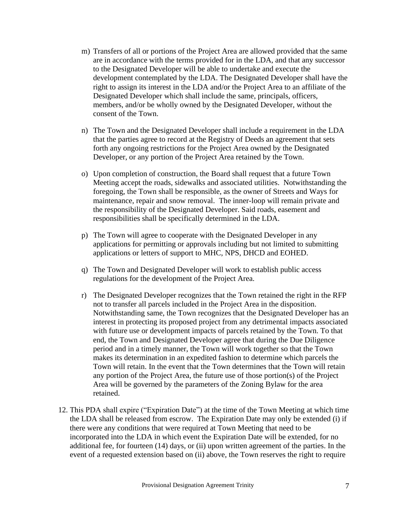- m) Transfers of all or portions of the Project Area are allowed provided that the same are in accordance with the terms provided for in the LDA, and that any successor to the Designated Developer will be able to undertake and execute the development contemplated by the LDA. The Designated Developer shall have the right to assign its interest in the LDA and/or the Project Area to an affiliate of the Designated Developer which shall include the same, principals, officers, members, and/or be wholly owned by the Designated Developer, without the consent of the Town.
- n) The Town and the Designated Developer shall include a requirement in the LDA that the parties agree to record at the Registry of Deeds an agreement that sets forth any ongoing restrictions for the Project Area owned by the Designated Developer, or any portion of the Project Area retained by the Town.
- o) Upon completion of construction, the Board shall request that a future Town Meeting accept the roads, sidewalks and associated utilities. Notwithstanding the foregoing, the Town shall be responsible, as the owner of Streets and Ways for maintenance, repair and snow removal. The inner-loop will remain private and the responsibility of the Designated Developer. Said roads, easement and responsibilities shall be specifically determined in the LDA.
- p) The Town will agree to cooperate with the Designated Developer in any applications for permitting or approvals including but not limited to submitting applications or letters of support to MHC, NPS, DHCD and EOHED.
- q) The Town and Designated Developer will work to establish public access regulations for the development of the Project Area.
- r) The Designated Developer recognizes that the Town retained the right in the RFP not to transfer all parcels included in the Project Area in the disposition. Notwithstanding same, the Town recognizes that the Designated Developer has an interest in protecting its proposed project from any detrimental impacts associated with future use or development impacts of parcels retained by the Town. To that end, the Town and Designated Developer agree that during the Due Diligence period and in a timely manner, the Town will work together so that the Town makes its determination in an expedited fashion to determine which parcels the Town will retain. In the event that the Town determines that the Town will retain any portion of the Project Area, the future use of those portion(s) of the Project Area will be governed by the parameters of the Zoning Bylaw for the area retained.
- 12. This PDA shall expire ("Expiration Date") at the time of the Town Meeting at which time the LDA shall be released from escrow. The Expiration Date may only be extended (i) if there were any conditions that were required at Town Meeting that need to be incorporated into the LDA in which event the Expiration Date will be extended, for no additional fee, for fourteen (14) days, or (ii) upon written agreement of the parties. In the event of a requested extension based on (ii) above, the Town reserves the right to require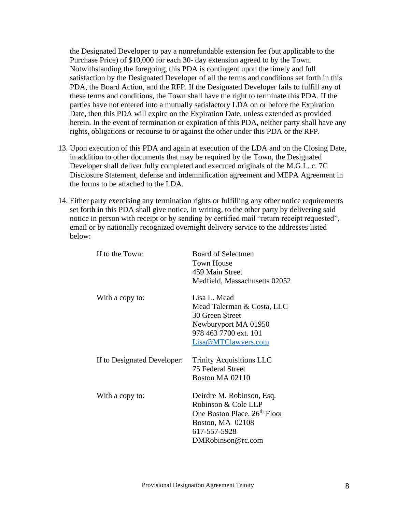the Designated Developer to pay a nonrefundable extension fee (but applicable to the Purchase Price) of \$10,000 for each 30- day extension agreed to by the Town. Notwithstanding the foregoing, this PDA is contingent upon the timely and full satisfaction by the Designated Developer of all the terms and conditions set forth in this PDA, the Board Action, and the RFP. If the Designated Developer fails to fulfill any of these terms and conditions, the Town shall have the right to terminate this PDA. If the parties have not entered into a mutually satisfactory LDA on or before the Expiration Date, then this PDA will expire on the Expiration Date, unless extended as provided herein. In the event of termination or expiration of this PDA, neither party shall have any rights, obligations or recourse to or against the other under this PDA or the RFP.

- 13. Upon execution of this PDA and again at execution of the LDA and on the Closing Date, in addition to other documents that may be required by the Town, the Designated Developer shall deliver fully completed and executed originals of the M.G.L. c. 7C Disclosure Statement, defense and indemnification agreement and MEPA Agreement in the forms to be attached to the LDA.
- 14. Either party exercising any termination rights or fulfilling any other notice requirements set forth in this PDA shall give notice, in writing, to the other party by delivering said notice in person with receipt or by sending by certified mail "return receipt requested", email or by nationally recognized overnight delivery service to the addresses listed below:

| If to the Town:             | <b>Board of Selectmen</b><br><b>Town House</b><br>459 Main Street<br>Medfield, Massachusetts 02052                                                    |
|-----------------------------|-------------------------------------------------------------------------------------------------------------------------------------------------------|
| With a copy to:             | Lisa L. Mead<br>Mead Talerman & Costa, LLC<br>30 Green Street<br>Newburyport MA 01950<br>978 463 7700 ext. 101<br>Lisa@MTClawyers.com                 |
| If to Designated Developer: | <b>Trinity Acquisitions LLC</b><br>75 Federal Street<br>Boston MA 02110                                                                               |
| With a copy to:             | Deirdre M. Robinson, Esq.<br>Robinson & Cole LLP<br>One Boston Place, 26 <sup>th</sup> Floor<br>Boston, MA 02108<br>617-557-5928<br>DMRobinson@rc.com |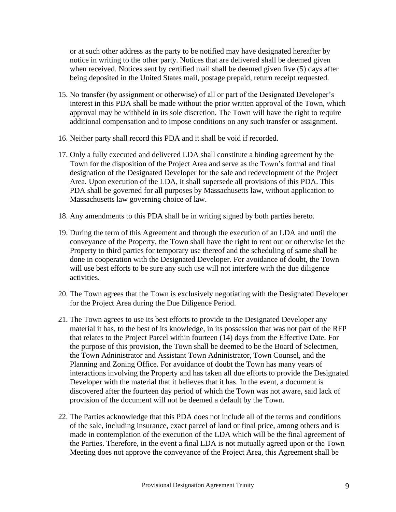or at such other address as the party to be notified may have designated hereafter by notice in writing to the other party. Notices that are delivered shall be deemed given when received. Notices sent by certified mail shall be deemed given five (5) days after being deposited in the United States mail, postage prepaid, return receipt requested.

- 15. No transfer (by assignment or otherwise) of all or part of the Designated Developer's interest in this PDA shall be made without the prior written approval of the Town, which approval may be withheld in its sole discretion. The Town will have the right to require additional compensation and to impose conditions on any such transfer or assignment.
- 16. Neither party shall record this PDA and it shall be void if recorded.
- 17. Only a fully executed and delivered LDA shall constitute a binding agreement by the Town for the disposition of the Project Area and serve as the Town's formal and final designation of the Designated Developer for the sale and redevelopment of the Project Area. Upon execution of the LDA, it shall supersede all provisions of this PDA. This PDA shall be governed for all purposes by Massachusetts law, without application to Massachusetts law governing choice of law.
- 18. Any amendments to this PDA shall be in writing signed by both parties hereto.
- 19. During the term of this Agreement and through the execution of an LDA and until the conveyance of the Property, the Town shall have the right to rent out or otherwise let the Property to third parties for temporary use thereof and the scheduling of same shall be done in cooperation with the Designated Developer. For avoidance of doubt, the Town will use best efforts to be sure any such use will not interfere with the due diligence activities.
- 20. The Town agrees that the Town is exclusively negotiating with the Designated Developer for the Project Area during the Due Diligence Period.
- 21. The Town agrees to use its best efforts to provide to the Designated Developer any material it has, to the best of its knowledge, in its possession that was not part of the RFP that relates to the Project Parcel within fourteen (14) days from the Effective Date. For the purpose of this provision, the Town shall be deemed to be the Board of Selectmen, the Town Adninistrator and Assistant Town Adninistrator, Town Counsel, and the Planning and Zoning Office. For avoidance of doubt the Town has many years of interactions involving the Property and has taken all due efforts to provide the Designated Developer with the material that it believes that it has. In the event, a document is discovered after the fourteen day period of which the Town was not aware, said lack of provision of the document will not be deemed a default by the Town.
- 22. The Parties acknowledge that this PDA does not include all of the terms and conditions of the sale, including insurance, exact parcel of land or final price, among others and is made in contemplation of the execution of the LDA which will be the final agreement of the Parties. Therefore, in the event a final LDA is not mutually agreed upon or the Town Meeting does not approve the conveyance of the Project Area, this Agreement shall be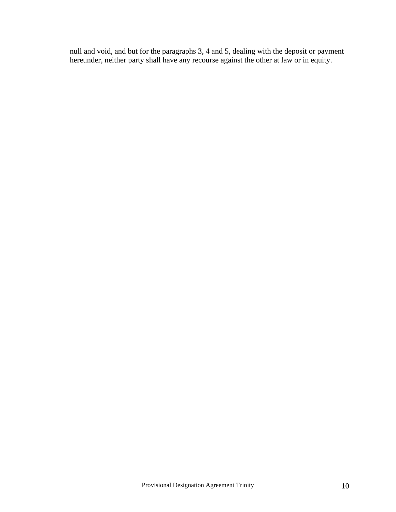null and void, and but for the paragraphs 3, 4 and 5, dealing with the deposit or payment hereunder, neither party shall have any recourse against the other at law or in equity.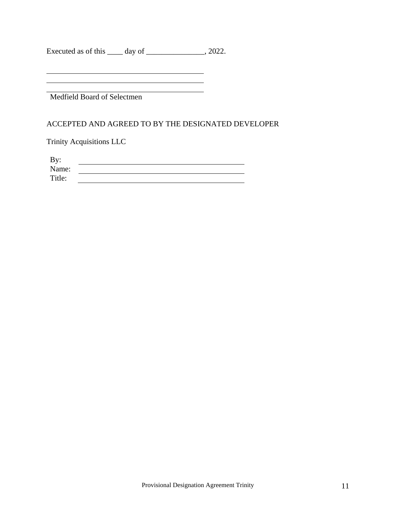Executed as of this \_\_\_\_\_ day of \_\_\_\_\_\_\_\_\_\_\_\_\_\_, 2022.

<u> 1980 - Johann Barbara, martxa amerikan personal (</u> Medfield Board of Selectmen

#### ACCEPTED AND AGREED TO BY THE DESIGNATED DEVELOPER

Trinity Acquisitions LLC

| By:    |  |
|--------|--|
| Name:  |  |
| Title: |  |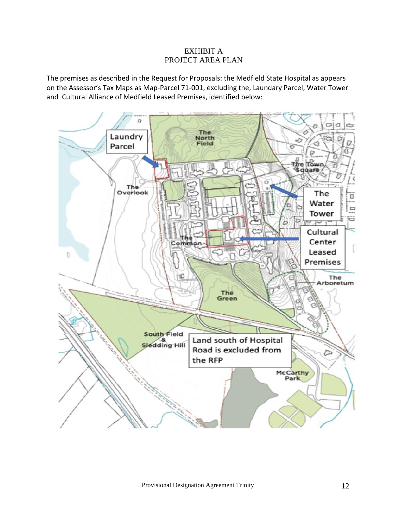### EXHIBIT A PROJECT AREA PLAN

The premises as described in the Request for Proposals: the Medfield State Hospital as appears on the Assessor's Tax Maps as Map-Parcel 71-001, excluding the, Laundary Parcel, Water Tower and Cultural Alliance of Medfield Leased Premises, identified below:

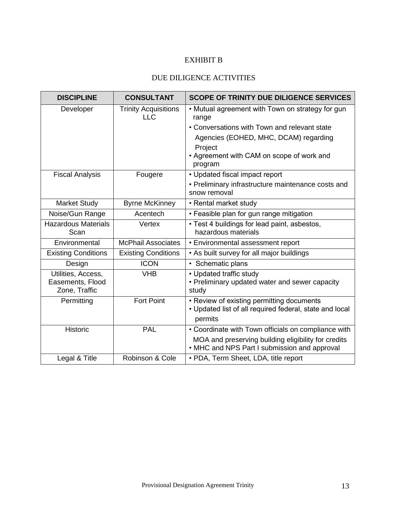# EXHIBIT B

## DUE DILIGENCE ACTIVITIES

| <b>DISCIPLINE</b>                                       | <b>CONSULTANT</b>                         | <b>SCOPE OF TRINITY DUE DILIGENCE SERVICES</b>                                                                  |
|---------------------------------------------------------|-------------------------------------------|-----------------------------------------------------------------------------------------------------------------|
| Developer                                               | <b>Trinity Acquisitions</b><br><b>LLC</b> | • Mutual agreement with Town on strategy for gun<br>range                                                       |
|                                                         |                                           | • Conversations with Town and relevant state                                                                    |
|                                                         |                                           | Agencies (EOHED, MHC, DCAM) regarding                                                                           |
|                                                         |                                           | Project                                                                                                         |
|                                                         |                                           | • Agreement with CAM on scope of work and<br>program                                                            |
| <b>Fiscal Analysis</b>                                  | Fougere                                   | • Updated fiscal impact report                                                                                  |
|                                                         |                                           | • Preliminary infrastructure maintenance costs and<br>snow removal                                              |
| <b>Market Study</b>                                     | <b>Byrne McKinney</b>                     | • Rental market study                                                                                           |
| Noise/Gun Range                                         | Acentech                                  | • Feasible plan for gun range mitigation                                                                        |
| <b>Hazardous Materials</b><br>Scan                      | Vertex                                    | • Test 4 buildings for lead paint, asbestos,<br>hazardous materials                                             |
| Environmental                                           | <b>McPhail Associates</b>                 | • Environmental assessment report                                                                               |
| <b>Existing Conditions</b>                              | <b>Existing Conditions</b>                | • As built survey for all major buildings                                                                       |
| Design                                                  | <b>ICON</b>                               | • Schematic plans                                                                                               |
| Utilities, Access,<br>Easements, Flood<br>Zone, Traffic | <b>VHB</b>                                | • Updated traffic study<br>• Preliminary updated water and sewer capacity<br>study                              |
| Permitting                                              | <b>Fort Point</b>                         | • Review of existing permitting documents<br>• Updated list of all required federal, state and local<br>permits |
| <b>Historic</b>                                         | <b>PAL</b>                                | • Coordinate with Town officials on compliance with                                                             |
|                                                         |                                           | MOA and preserving building eligibility for credits<br>• MHC and NPS Part I submission and approval             |
| Legal & Title                                           | Robinson & Cole                           | • PDA, Term Sheet, LDA, title report                                                                            |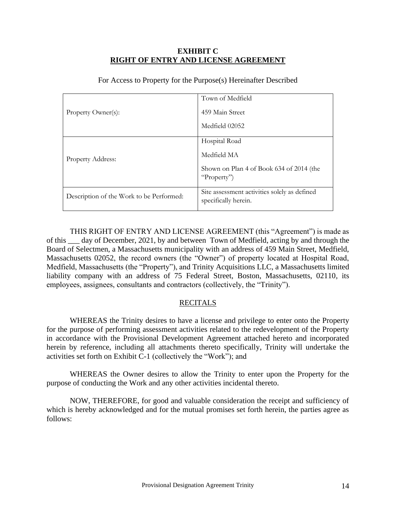#### **EXHIBIT C RIGHT OF ENTRY AND LICENSE AGREEMENT**

|                                          | Town of Medfield                                                     |
|------------------------------------------|----------------------------------------------------------------------|
| Property Owner(s):                       | 459 Main Street                                                      |
|                                          | Medfield 02052                                                       |
| <b>Property Address:</b>                 | Hospital Road                                                        |
|                                          | Medfield MA                                                          |
|                                          | Shown on Plan 4 of Book 634 of 2014 (the<br>"Property")              |
| Description of the Work to be Performed: | Site assessment activities solely as defined<br>specifically herein. |

For Access to Property for the Purpose(s) Hereinafter Described

THIS RIGHT OF ENTRY AND LICENSE AGREEMENT (this "Agreement") is made as of this \_\_\_ day of December, 2021, by and between Town of Medfield, acting by and through the Board of Selectmen, a Massachusetts municipality with an address of 459 Main Street, Medfield, Massachusetts 02052, the record owners (the "Owner") of property located at Hospital Road, Medfield, Massachusetts (the "Property"), and Trinity Acquisitions LLC, a Massachusetts limited liability company with an address of 75 Federal Street, Boston, Massachusetts, 02110, its employees, assignees, consultants and contractors (collectively, the "Trinity").

#### RECITALS

WHEREAS the Trinity desires to have a license and privilege to enter onto the Property for the purpose of performing assessment activities related to the redevelopment of the Property in accordance with the Provisional Development Agreement attached hereto and incorporated herein by reference, including all attachments thereto specifically, Trinity will undertake the activities set forth on Exhibit C-1 (collectively the "Work"); and

WHEREAS the Owner desires to allow the Trinity to enter upon the Property for the purpose of conducting the Work and any other activities incidental thereto.

NOW, THEREFORE, for good and valuable consideration the receipt and sufficiency of which is hereby acknowledged and for the mutual promises set forth herein, the parties agree as follows: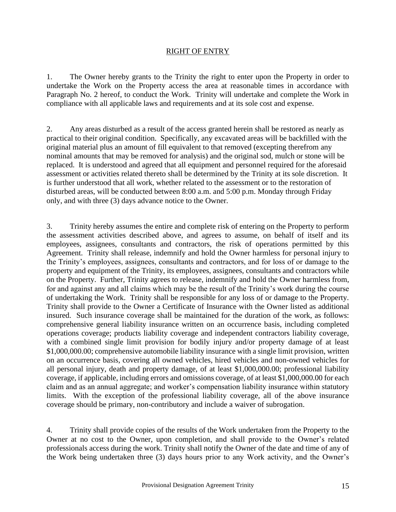#### RIGHT OF ENTRY

1. The Owner hereby grants to the Trinity the right to enter upon the Property in order to undertake the Work on the Property access the area at reasonable times in accordance with Paragraph No. 2 hereof, to conduct the Work. Trinity will undertake and complete the Work in compliance with all applicable laws and requirements and at its sole cost and expense.

2. Any areas disturbed as a result of the access granted herein shall be restored as nearly as practical to their original condition. Specifically, any excavated areas will be backfilled with the original material plus an amount of fill equivalent to that removed (excepting therefrom any nominal amounts that may be removed for analysis) and the original sod, mulch or stone will be replaced. It is understood and agreed that all equipment and personnel required for the aforesaid assessment or activities related thereto shall be determined by the Trinity at its sole discretion. It is further understood that all work, whether related to the assessment or to the restoration of disturbed areas, will be conducted between 8:00 a.m. and 5:00 p.m. Monday through Friday only, and with three (3) days advance notice to the Owner.

3. Trinity hereby assumes the entire and complete risk of entering on the Property to perform the assessment activities described above, and agrees to assume, on behalf of itself and its employees, assignees, consultants and contractors, the risk of operations permitted by this Agreement. Trinity shall release, indemnify and hold the Owner harmless for personal injury to the Trinity's employees, assignees, consultants and contractors, and for loss of or damage to the property and equipment of the Trinity, its employees, assignees, consultants and contractors while on the Property. Further, Trinity agrees to release, indemnify and hold the Owner harmless from, for and against any and all claims which may be the result of the Trinity's work during the course of undertaking the Work. Trinity shall be responsible for any loss of or damage to the Property. Trinity shall provide to the Owner a Certificate of Insurance with the Owner listed as additional insured. Such insurance coverage shall be maintained for the duration of the work, as follows: comprehensive general liability insurance written on an occurrence basis, including completed operations coverage; products liability coverage and independent contractors liability coverage, with a combined single limit provision for bodily injury and/or property damage of at least \$1,000,000.00; comprehensive automobile liability insurance with a single limit provision, written on an occurrence basis, covering all owned vehicles, hired vehicles and non-owned vehicles for all personal injury, death and property damage, of at least \$1,000,000.00; professional liability coverage, if applicable, including errors and omissions coverage, of at least \$1,000,000.00 for each claim and as an annual aggregate; and worker's compensation liability insurance within statutory limits. With the exception of the professional liability coverage, all of the above insurance coverage should be primary, non-contributory and include a waiver of subrogation.

4. Trinity shall provide copies of the results of the Work undertaken from the Property to the Owner at no cost to the Owner, upon completion, and shall provide to the Owner's related professionals access during the work. Trinity shall notify the Owner of the date and time of any of the Work being undertaken three (3) days hours prior to any Work activity, and the Owner's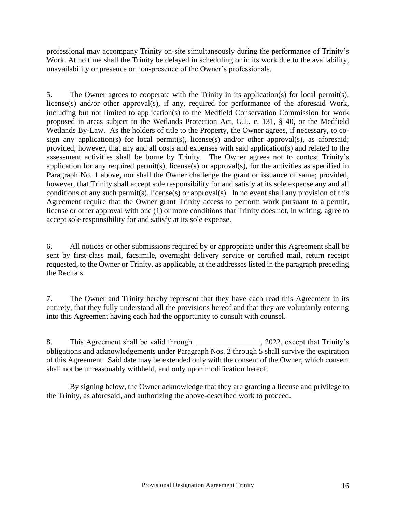professional may accompany Trinity on-site simultaneously during the performance of Trinity's Work. At no time shall the Trinity be delayed in scheduling or in its work due to the availability, unavailability or presence or non-presence of the Owner's professionals.

5. The Owner agrees to cooperate with the Trinity in its application(s) for local permit(s), license(s) and/or other approval(s), if any, required for performance of the aforesaid Work, including but not limited to application(s) to the Medfield Conservation Commission for work proposed in areas subject to the Wetlands Protection Act, G.L. c. 131, § 40, or the Medfield Wetlands By-Law. As the holders of title to the Property, the Owner agrees, if necessary, to cosign any application(s) for local permit(s), license(s) and/or other approval(s), as aforesaid; provided, however, that any and all costs and expenses with said application(s) and related to the assessment activities shall be borne by Trinity. The Owner agrees not to contest Trinity's application for any required permit(s), license(s) or approval(s), for the activities as specified in Paragraph No. 1 above, nor shall the Owner challenge the grant or issuance of same; provided, however, that Trinity shall accept sole responsibility for and satisfy at its sole expense any and all conditions of any such permit(s), license(s) or approval(s). In no event shall any provision of this Agreement require that the Owner grant Trinity access to perform work pursuant to a permit, license or other approval with one (1) or more conditions that Trinity does not, in writing, agree to accept sole responsibility for and satisfy at its sole expense.

6. All notices or other submissions required by or appropriate under this Agreement shall be sent by first-class mail, facsimile, overnight delivery service or certified mail, return receipt requested, to the Owner or Trinity, as applicable, at the addresses listed in the paragraph preceding the Recitals.

7. The Owner and Trinity hereby represent that they have each read this Agreement in its entirety, that they fully understand all the provisions hereof and that they are voluntarily entering into this Agreement having each had the opportunity to consult with counsel.

8. This Agreement shall be valid through \_\_\_\_\_\_\_\_\_\_\_\_\_\_\_, 2022, except that Trinity's obligations and acknowledgements under Paragraph Nos. 2 through 5 shall survive the expiration of this Agreement. Said date may be extended only with the consent of the Owner, which consent shall not be unreasonably withheld, and only upon modification hereof.

By signing below, the Owner acknowledge that they are granting a license and privilege to the Trinity, as aforesaid, and authorizing the above-described work to proceed.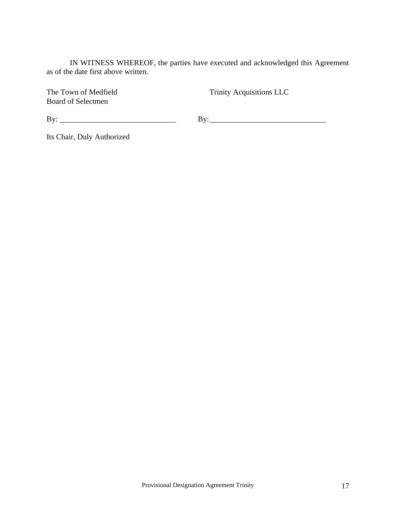IN WITNESS WHEREOF, the parties have executed and acknowledged this Agreement as of the date first above written.

Board of Selectmen

The Town of Medfield Trinity Acquisitions LLC

 $\text{By:}\_$ 

Its Chair, Duly Authorized